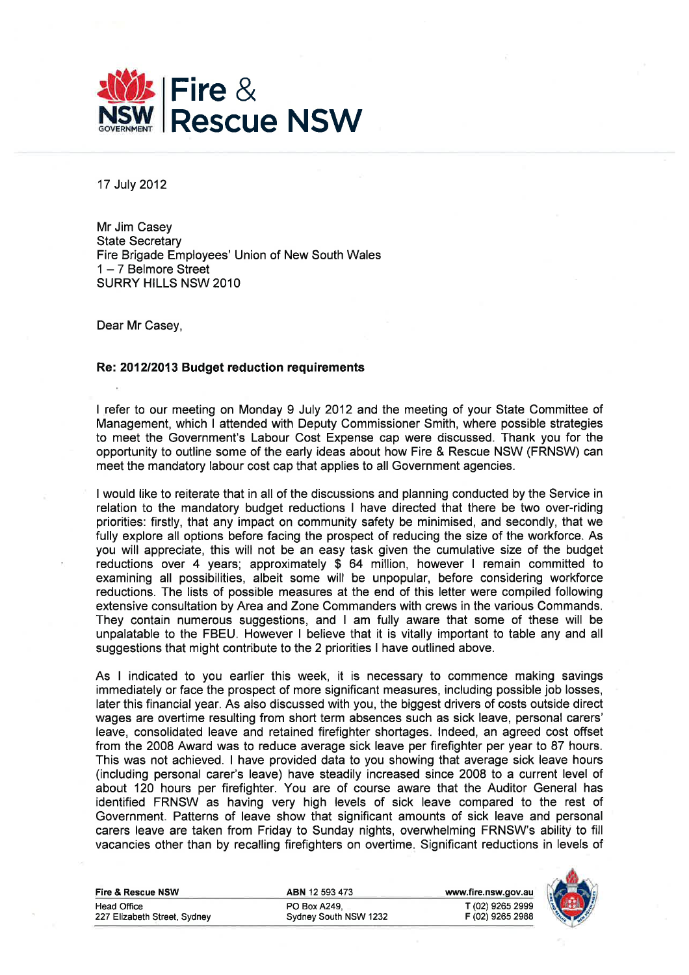

17 July 2012

Mr Jim Casey State Secretary Fire Brigade Employees' Union of New South Wales  $1-7$  Belmore Street SURRY HILLS NSW 2O1O

Dear Mr Casey,

## Re:. 201212013 Budget reduction requirements

I refer to our meeting on Monday 9 July 2012 and the meeting of your State Committee of Management, which I attended with Deputy Commissioner Smith, where possible strategies to meet the Government's Labour Cost Expense cap were discussed. Thank you for the opportunity to outline some of the early ideas about how Fire & Rescue NSW (FRNSW) can meet the mandatory labour cost cap that applies to all Government agencies.

I would like to reiterate that in all of the discussions and planning conducted by the Service in relation to the mandatory budget reductions I have directed that there be two over-riding priorities: firstly, that any impact on community safety be minimised, and secondly, that we fully explore all options before facing the prospect of reducing the size of the workforce. As you will appreciate, this will not be an easy task given the cumulative size of the budget reductions over 4 years; approximately \$ 64 million, however I remain committed to examining all possibilities, albeit some will be unpopular, before considering workforce reductions. The lists of possible measures at the end of this letter were compiled following extensive consultation by Area and Zone Commanders with crews in the various Commands. They contain numerous suggestions, and I am fully aware that some of these will be unpalatable to the FBEU. However I believe that it is vitally important to table any and all suggestions that might contribute to the 2 priorities I have outlined above.

As I indicated to you earlier this week, it is necessary to commence making savings immediately or face the prospect of more significant measures, including possible job losses, later this financial year. As also discussed with you, the biggest drivers of costs outside direct wages are overtime resulting from short term absences such as sick leave, personal carers' leave, consolidated leave and retained firefighter shortages. lndeed, an agreed cost offset from the 2008 Award was to reduce average sick leave per firefighter per year to 87 hours. This was not achieved. I have provided data to you showing that average sick leave hours (including personal carer's leave) have steadily increased since 2008 to a current level of about 120 hours per firefighter. You are of course aware that the Auditor General has identified FRNSW as having very high levels of sick leave compared to the rest of Government. Patterns of leave show that significant amounts of sick leave and personal carers leave are taken from Friday to Sunday nights, overwhelming FRNSW's ability to fill vacancies other than by recalling firefighters on overtime. Significant reductions in levels of

| Fire & Rescue NSW            | <b>ABN</b> 12 593 473 | www.fire.nsw.gov.au |
|------------------------------|-----------------------|---------------------|
| Head Office                  | PO Box A249.          | T (02) 9265 2999    |
| 227 Elizabeth Street, Sydney | Sydney South NSW 1232 | F (02) 9265 2988    |

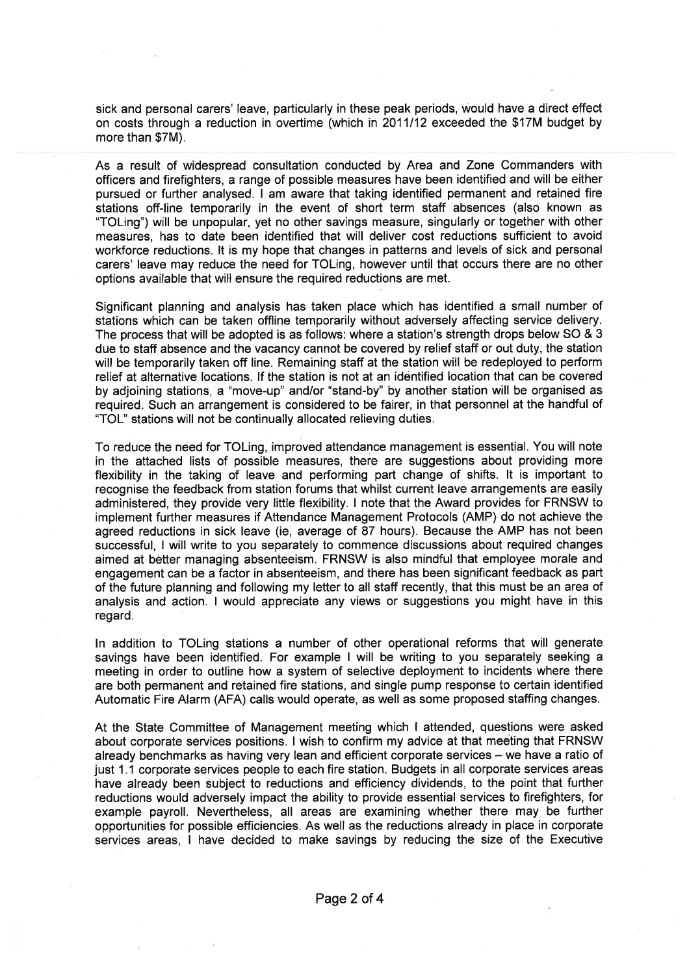sick and personal carers' leave, particularly in these peak periods, would have a direct effect on costs through a reduction in overtime (which in 2011112 exceeded the \$17M budget by more than \$7M).

As a result of widespread consultation conducted by Area and Zone Commanders with officers and firefighters, a range of possible measures have been identified and will be either pursued or further analysed. I am aware that taking identified permanent and retained fire stations off-line temporarily in the event of short term staff absences (also known as "TOLing") will be unpopular, yet no other savings measure, singularly or together with other measures, has to date been identified that will deliver cost reductions sufficient to avoid workforce reductions. lt is my hope that changes in patterns and levels of sick and personal carers' leave may reduce the need for TOLing, however until that occurs there are no other options available that will ensure the required reductions are met.

Significant planning and analysis has taken place which has identified a small number of stations which can be taken offline temporarily without adversely affecting service delivery. The process that will be adopted is as follows: where a station's strength drops below SO & 3 due to staff absence and the vacancy cannot be covered by relief staff or out duty, the station will be temporarily taken off line. Remaining staff at the station will be redeployed to perform relief at alternative locations. lf the station is not at an idéntified location that can be covered by adjoining stations, a "move-up" and/or "stand-by" by another station will be organised as required. Such an arrangement is considered to be fairer, in that personnel at the handful of 'TOL" stations will not be continually allocated relieving duties.

To reduce the need for TOLing, improved attendance management is essential. You will note in the attached lists of possìble measures, there are suggestions about providing more flexibility in the taking of leave and performing part change of shifts. lt is important to recognise the feedback from station forums that whilst current leave arrangements are easily administered, they provide very little flexibility. I note that the Award provides for FRNSW to implement further measures if Attendance Management Protocols (AMP) do not achieve the agreed reductions in sick leave (ie, average of 87 hours). Because the AMP has not been successful, I will write to you separately to commence discussions about required changes aimed at better managing absenteeism. FRNSW is also mindful that employee morale and engagement can be a factor in absenteeism, and there has been significant feedback as part of the future planning and following my letter to all staff recently, that this must be an area of analysis and action. I would appreciate any views or suggestions you might have in this regard.

ln addition to TOLing stations a number of other operational reforms that will generate savings have been identified. For example I will be writing to you separately seeking a meeting in order to outline how a system of selective deployment to incidents where there are both permanent and retained fire stations, and single pump response to certain identified Automatic Fire Alarm (AFA) calls would operate, as well as some proposed staffing changes.

At the State Committee of Management meeting which I attended, questions were asked about corporate services positions. I wish to confirm my advice at that meéting that FRNSW already benchmarks as having very lean and efficient corporate services - we have a ratio of just 1.1 corporate services people to each fire station. Budgets in all corporate services areas have already been subject to reductions and efficiency dividends, to the point that further reductions would adversely impact the ability to provide essential services to firefighters, for example payroll. Nevertheless, all areas are examining whether there may be further opportunities for possible efficiencies. As well as the reductions already in place in corporate services areas, I have decided to make savings by reducing the size of the Executive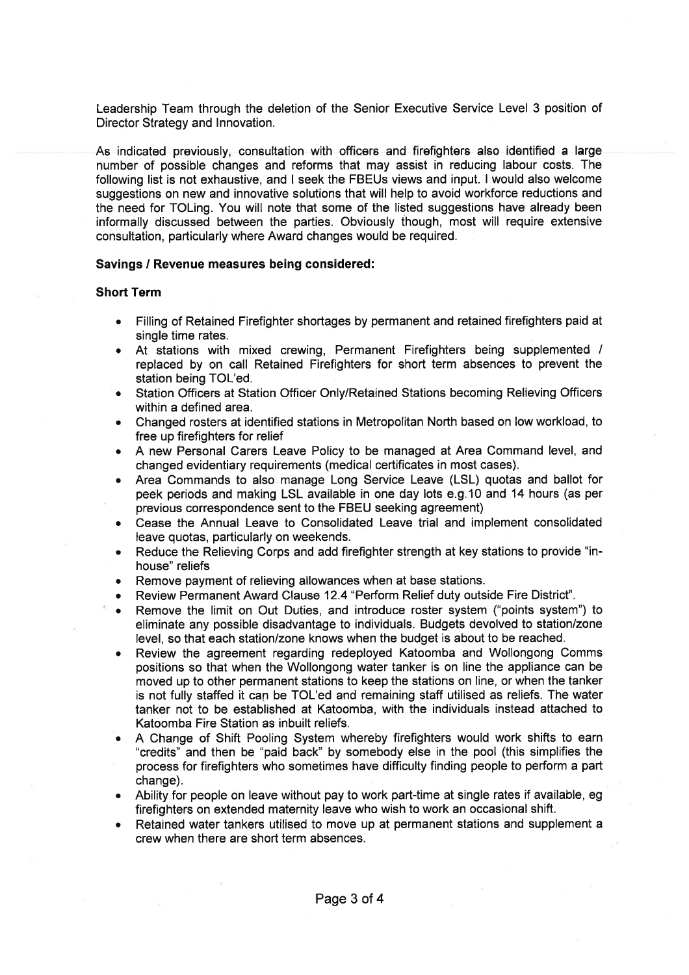Leadership Team through the deletion of the Senior Executive Service Level 3 position of Director Strategy and lnnovation.

Ae indicated previously, consultation with officers and firefighters also identified a large number of possible changes and reforms that may assist in reducing labour costs. The following list is not exhaustive, and I seek the FBEUs views and input. I would also welcome suggestions on new and innovative solutions that will help to avoid workforce reductions and the need for TOLing. You will note that some of the listed suggestions have already been informally discussed between the parties. Obviously though, most will require extensive consultation, particularly where Award changes would be required.

## Savings / Revenue measures being considered:

## Short Term

- . Filling of Retained Firefighter shortages by permanent and retained firefighters paid at single time rates.
- o At stations with mixed crewing, Permanent Firefighters being supplemented / replaced by on call Retained Firefighters for short term absences to prevent the station being TOL'ed.
- . Station Officers at Station Officer Only/Retained Stations becoming Relieving Officers within a defined area.
- r Changed rosters at identified stations in Metropolitan North based on low workload, to free up firefighters for relief
- . A new Personal Carers Leave Policy to be managed at Area Command level, and changed evidentiary requirements (medical certificates in most cases).
- o Area Commands to also manage Long Service Leave (LSL) quotas and ballot for peek periods and making LSL available in one day lots e.9.10 and 14 hours (as per previous correspondence sent to the FBEU seeking agreement)
- . Cease the Annual Leave to Consolidated Leave trial and implement consolidated leave quotas, particularly on weekends.
- . Reduce the Relieving Corps and add firefighter strength at key stations to provide "inhouse" reliefs
- Remove payment of relieving allowances when at base stations.
- Review Permanent Award Clause 12.4 "Perform Relief duty outside Fire District".
- Remove the limit on Out Duties, and introduce roster system ("points system") to eliminate any possible disadvantage to individuals. Budgets devolved to station/zone level, so that each station/zone knows when the budget is about to be reached.
- Review the agreement regarding redeployed Katoomba and Wollongong Comms positions so that when the Wollongong water tanker is on line the appliance can be moved up to other permanent stations to keep the stations on line, or when the tanker is not fully staffed it can be TOL'ed and remaining staff utilised as reliefs. The water tanker not to be established at Katoomba, with the individuals instead attached to Katoomba Fire Station as inbuilt reliefs.
- . A Change of Shift Pooling System whereby firefighters would work shifts to earn "credits" and then be "paid back" by somebody else in the pool (this simplifies the process for firefighters who sometimes have difficulty finding people to perform a part change).
- . Ability for people on leave without pay to work part-time at single rates if available, eg firefighters on extended maternity leave who wish to work an occasional shift.
- o Retained water tankers utilised to move up at permanent stations and supplement a crew when there are short term absences.